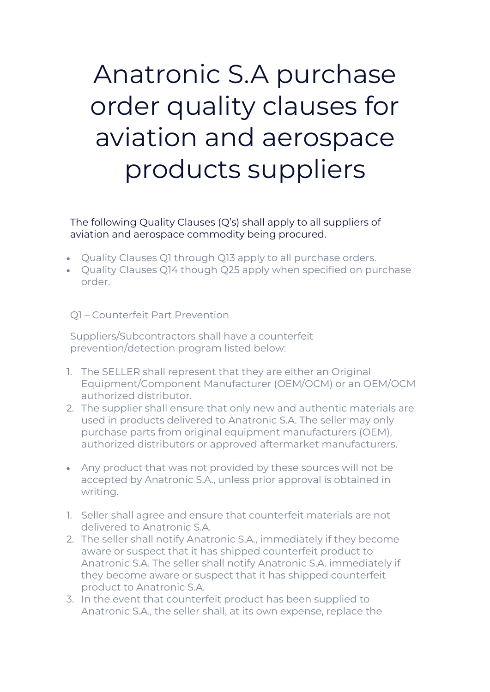# Anatronic S.A purchase order quality clauses for aviation and aerospace products suppliers

The following Quality Clauses (Q's) shall apply to all suppliers of aviation and aerospace commodity being procured.

- Quality Clauses Q1 through Q13 apply to all purchase orders.
- Quality Clauses Q14 though Q25 apply when specified on purchase order.

#### Q1 – Counterfeit Part Prevention

Suppliers/Subcontractors shall have a counterfeit prevention/detection program listed below:

- 1. The SELLER shall represent that they are either an Original Equipment/Component Manufacturer (OEM/OCM) or an OEM/OCM authorized distributor.
- 2. The supplier shall ensure that only new and authentic materials are used in products delivered to Anatronic S.A. The seller may only purchase parts from original equipment manufacturers (OEM), authorized distributors or approved aftermarket manufacturers.
- Any product that was not provided by these sources will not be accepted by Anatronic S.A., unless prior approval is obtained in writing.
- 1. Seller shall agree and ensure that counterfeit materials are not delivered to Anatronic S.A.
- 2. The seller shall notify Anatronic S.A., immediately if they become aware or suspect that it has shipped counterfeit product to Anatronic S.A. The seller shall notify Anatronic S.A. immediately if they become aware or suspect that it has shipped counterfeit product to Anatronic S.A.
- 3. In the event that counterfeit product has been supplied to Anatronic S.A., the seller shall, at its own expense, replace the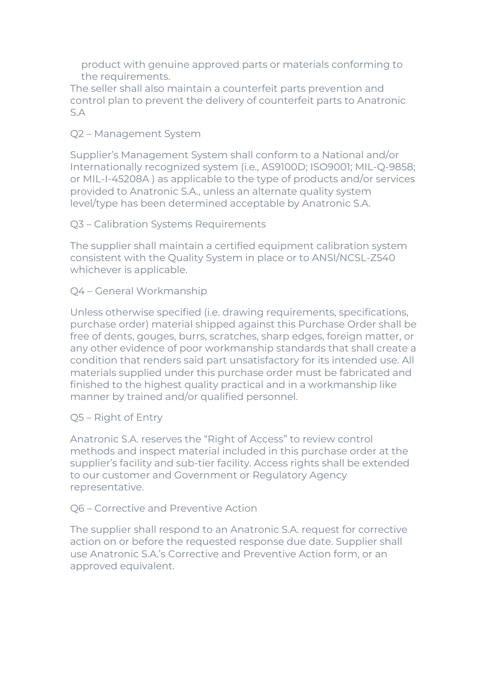product with genuine approved parts or materials conforming to the requirements.

The seller shall also maintain a counterfeit parts prevention and control plan to prevent the delivery of counterfeit parts to Anatronic S.A

### Q2 – Management System

Supplier's Management System shall conform to a National and/or Internationally recognized system (i.e., AS9100D; ISO9001; MIL-Q-9858; or MIL-I-45208A ) as applicable to the type of products and/or services provided to Anatronic S.A., unless an alternate quality system level/type has been determined acceptable by Anatronic S.A.

Q3 – Calibration Systems Requirements

The supplier shall maintain a certified equipment calibration system consistent with the Quality System in place or to ANSI/NCSL-Z540 whichever is applicable.

#### Q4 – General Workmanship

Unless otherwise specified (i.e. drawing requirements, specifications, purchase order) material shipped against this Purchase Order shall be free of dents, gouges, burrs, scratches, sharp edges, foreign matter, or any other evidence of poor workmanship standards that shall create a condition that renders said part unsatisfactory for its intended use. All materials supplied under this purchase order must be fabricated and finished to the highest quality practical and in a workmanship like manner by trained and/or qualified personnel.

#### Q5 – Right of Entry

Anatronic S.A. reserves the "Right of Access" to review control methods and inspect material included in this purchase order at the supplier's facility and sub-tier facility. Access rights shall be extended to our customer and Government or Regulatory Agency representative.

#### Q6 – Corrective and Preventive Action

The supplier shall respond to an Anatronic S.A. request for corrective action on or before the requested response due date. Supplier shall use Anatronic S.A.'s Corrective and Preventive Action form, or an approved equivalent.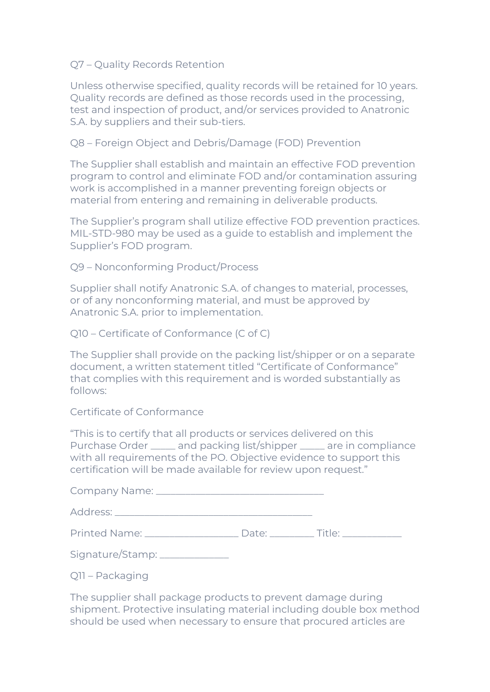#### Q7 – Quality Records Retention

Unless otherwise specified, quality records will be retained for 10 years. Quality records are defined as those records used in the processing, test and inspection of product, and/or services provided to Anatronic S.A. by suppliers and their sub-tiers.

#### Q8 – Foreign Object and Debris/Damage (FOD) Prevention

The Supplier shall establish and maintain an effective FOD prevention program to control and eliminate FOD and/or contamination assuring work is accomplished in a manner preventing foreign objects or material from entering and remaining in deliverable products.

The Supplier's program shall utilize effective FOD prevention practices. MIL-STD-980 may be used as a guide to establish and implement the Supplier's FOD program.

#### Q9 – Nonconforming Product/Process

Supplier shall notify Anatronic S.A. of changes to material, processes, or of any nonconforming material, and must be approved by Anatronic S.A. prior to implementation.

Q10 – Certificate of Conformance (C of C)

The Supplier shall provide on the packing list/shipper or on a separate document, a written statement titled "Certificate of Conformance" that complies with this requirement and is worded substantially as follows:

#### Certificate of Conformance

"This is to certify that all products or services delivered on this Purchase Order \_\_\_\_\_ and packing list/shipper \_\_\_\_\_ are in compliance with all requirements of the PO. Objective evidence to support this certification will be made available for review upon request."

| Signature/Stamp: _____________ |  |
|--------------------------------|--|

Q11 – Packaging

The supplier shall package products to prevent damage during shipment. Protective insulating material including double box method should be used when necessary to ensure that procured articles are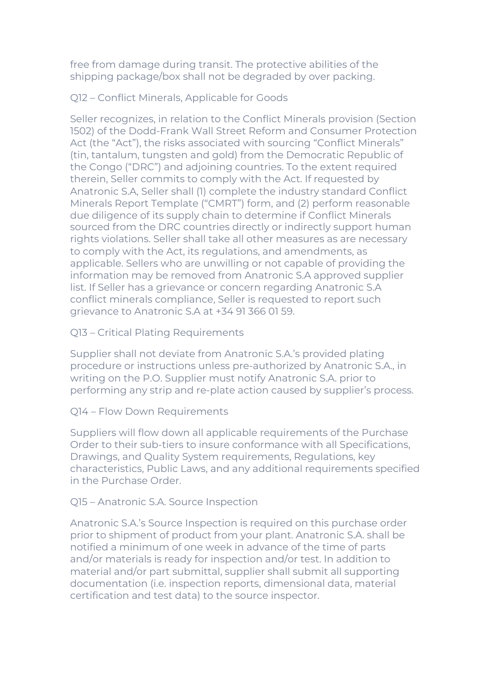free from damage during transit. The protective abilities of the shipping package/box shall not be degraded by over packing.

Q12 – Conflict Minerals, Applicable for Goods

Seller recognizes, in relation to the Conflict Minerals provision (Section 1502) of the Dodd-Frank Wall Street Reform and Consumer Protection Act (the "Act"), the risks associated with sourcing "Conflict Minerals" (tin, tantalum, tungsten and gold) from the Democratic Republic of the Congo ("DRC") and adjoining countries. To the extent required therein, Seller commits to comply with the Act. If requested by Anatronic S.A, Seller shall (1) complete the industry standard Conflict Minerals Report Template ("CMRT") form, and (2) perform reasonable due diligence of its supply chain to determine if Conflict Minerals sourced from the DRC countries directly or indirectly support human rights violations. Seller shall take all other measures as are necessary to comply with the Act, its regulations, and amendments, as applicable. Sellers who are unwilling or not capable of providing the information may be removed from Anatronic S.A approved supplier list. If Seller has a grievance or concern regarding Anatronic S.A conflict minerals compliance, Seller is requested to report such grievance to Anatronic S.A at +34 91 366 01 59.

Q13 – Critical Plating Requirements

Supplier shall not deviate from Anatronic S.A.'s provided plating procedure or instructions unless pre-authorized by Anatronic S.A., in writing on the P.O. Supplier must notify Anatronic S.A. prior to performing any strip and re-plate action caused by supplier's process.

Q14 – Flow Down Requirements

Suppliers will flow down all applicable requirements of the Purchase Order to their sub-tiers to insure conformance with all Specifications, Drawings, and Quality System requirements, Regulations, key characteristics, Public Laws, and any additional requirements specified in the Purchase Order.

## Q15 – Anatronic S.A. Source Inspection

Anatronic S.A.'s Source Inspection is required on this purchase order prior to shipment of product from your plant. Anatronic S.A. shall be notified a minimum of one week in advance of the time of parts and/or materials is ready for inspection and/or test. In addition to material and/or part submittal, supplier shall submit all supporting documentation (i.e. inspection reports, dimensional data, material certification and test data) to the source inspector.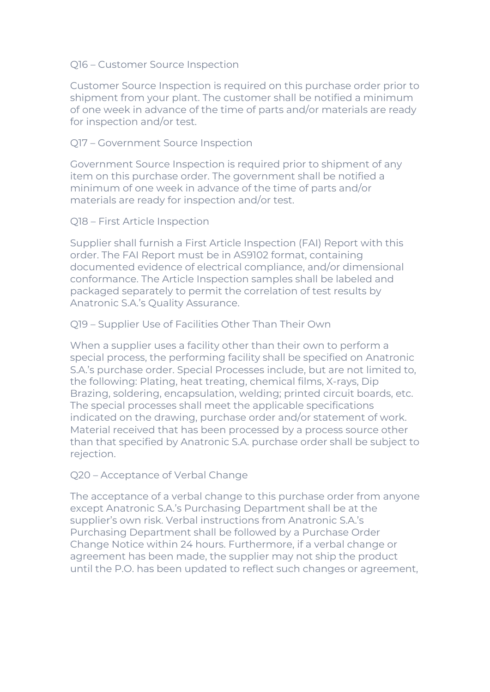#### Q16 – Customer Source Inspection

Customer Source Inspection is required on this purchase order prior to shipment from your plant. The customer shall be notified a minimum of one week in advance of the time of parts and/or materials are ready for inspection and/or test.

#### Q17 – Government Source Inspection

Government Source Inspection is required prior to shipment of any item on this purchase order. The government shall be notified a minimum of one week in advance of the time of parts and/or materials are ready for inspection and/or test.

Q18 – First Article Inspection

Supplier shall furnish a First Article Inspection (FAI) Report with this order. The FAI Report must be in AS9102 format, containing documented evidence of electrical compliance, and/or dimensional conformance. The Article Inspection samples shall be labeled and packaged separately to permit the correlation of test results by Anatronic S.A.'s Quality Assurance.

#### Q19 – Supplier Use of Facilities Other Than Their Own

When a supplier uses a facility other than their own to perform a special process, the performing facility shall be specified on Anatronic S.A.'s purchase order. Special Processes include, but are not limited to, the following: Plating, heat treating, chemical films, X-rays, Dip Brazing, soldering, encapsulation, welding; printed circuit boards, etc. The special processes shall meet the applicable specifications indicated on the drawing, purchase order and/or statement of work. Material received that has been processed by a process source other than that specified by Anatronic S.A. purchase order shall be subject to rejection.

#### Q20 – Acceptance of Verbal Change

The acceptance of a verbal change to this purchase order from anyone except Anatronic S.A.'s Purchasing Department shall be at the supplier's own risk. Verbal instructions from Anatronic S.A.'s Purchasing Department shall be followed by a Purchase Order Change Notice within 24 hours. Furthermore, if a verbal change or agreement has been made, the supplier may not ship the product until the P.O. has been updated to reflect such changes or agreement,